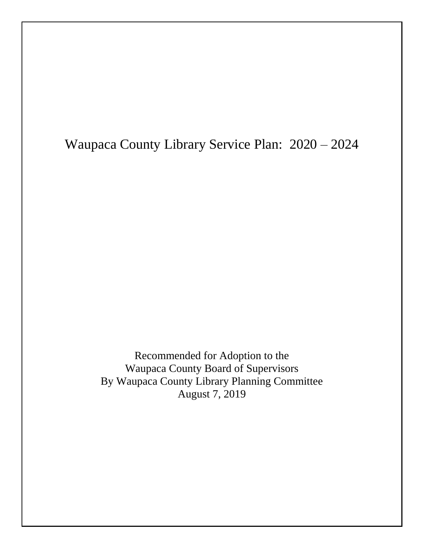Waupaca County Library Service Plan: 2020 – 2024

Recommended for Adoption to the Waupaca County Board of Supervisors By Waupaca County Library Planning Committee August 7, 2019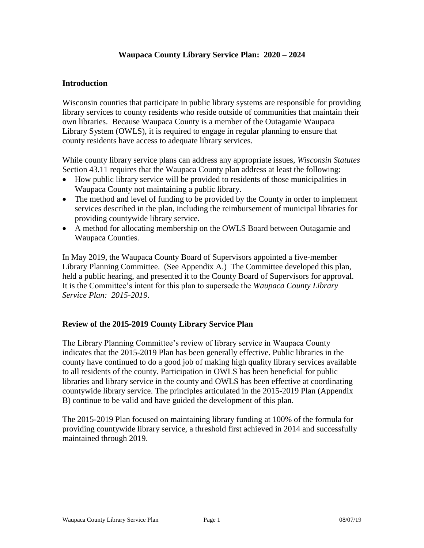# **Waupaca County Library Service Plan: 2020 – 2024**

### **Introduction**

Wisconsin counties that participate in public library systems are responsible for providing library services to county residents who reside outside of communities that maintain their own libraries. Because Waupaca County is a member of the Outagamie Waupaca Library System (OWLS), it is required to engage in regular planning to ensure that county residents have access to adequate library services.

While county library service plans can address any appropriate issues, *Wisconsin Statutes* Section 43.11 requires that the Waupaca County plan address at least the following:

- How public library service will be provided to residents of those municipalities in Waupaca County not maintaining a public library.
- The method and level of funding to be provided by the County in order to implement services described in the plan, including the reimbursement of municipal libraries for providing countywide library service.
- A method for allocating membership on the OWLS Board between Outagamie and Waupaca Counties.

In May 2019, the Waupaca County Board of Supervisors appointed a five-member Library Planning Committee. (See Appendix A.) The Committee developed this plan, held a public hearing, and presented it to the County Board of Supervisors for approval. It is the Committee's intent for this plan to supersede the *Waupaca County Library Service Plan: 2015-2019*.

### **Review of the 2015-2019 County Library Service Plan**

The Library Planning Committee's review of library service in Waupaca County indicates that the 2015-2019 Plan has been generally effective. Public libraries in the county have continued to do a good job of making high quality library services available to all residents of the county. Participation in OWLS has been beneficial for public libraries and library service in the county and OWLS has been effective at coordinating countywide library service. The principles articulated in the 2015-2019 Plan (Appendix B) continue to be valid and have guided the development of this plan.

The 2015-2019 Plan focused on maintaining library funding at 100% of the formula for providing countywide library service, a threshold first achieved in 2014 and successfully maintained through 2019.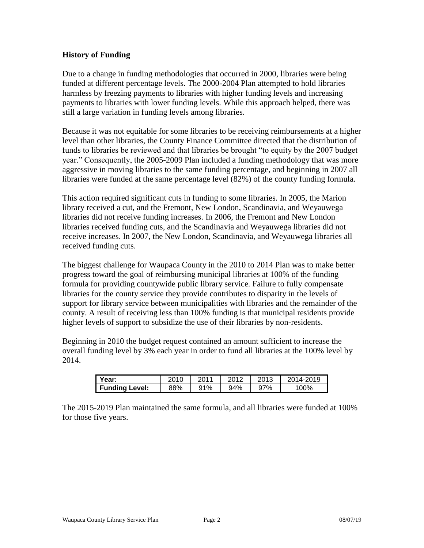# **History of Funding**

Due to a change in funding methodologies that occurred in 2000, libraries were being funded at different percentage levels. The 2000-2004 Plan attempted to hold libraries harmless by freezing payments to libraries with higher funding levels and increasing payments to libraries with lower funding levels. While this approach helped, there was still a large variation in funding levels among libraries.

Because it was not equitable for some libraries to be receiving reimbursements at a higher level than other libraries, the County Finance Committee directed that the distribution of funds to libraries be reviewed and that libraries be brought "to equity by the 2007 budget year." Consequently, the 2005-2009 Plan included a funding methodology that was more aggressive in moving libraries to the same funding percentage, and beginning in 2007 all libraries were funded at the same percentage level (82%) of the county funding formula.

This action required significant cuts in funding to some libraries. In 2005, the Marion library received a cut, and the Fremont, New London, Scandinavia, and Weyauwega libraries did not receive funding increases. In 2006, the Fremont and New London libraries received funding cuts, and the Scandinavia and Weyauwega libraries did not receive increases. In 2007, the New London, Scandinavia, and Weyauwega libraries all received funding cuts.

The biggest challenge for Waupaca County in the 2010 to 2014 Plan was to make better progress toward the goal of reimbursing municipal libraries at 100% of the funding formula for providing countywide public library service. Failure to fully compensate libraries for the county service they provide contributes to disparity in the levels of support for library service between municipalities with libraries and the remainder of the county. A result of receiving less than 100% funding is that municipal residents provide higher levels of support to subsidize the use of their libraries by non-residents.

Beginning in 2010 the budget request contained an amount sufficient to increase the overall funding level by 3% each year in order to fund all libraries at the 100% level by 2014.

| Year:                 | 2010 | 2011 | 2012 | 2013 | 2014-2019 |
|-----------------------|------|------|------|------|-----------|
| <b>Funding Level:</b> | 88%  | 91%  | 94%  | 97%  | 100%      |

The 2015-2019 Plan maintained the same formula, and all libraries were funded at 100% for those five years.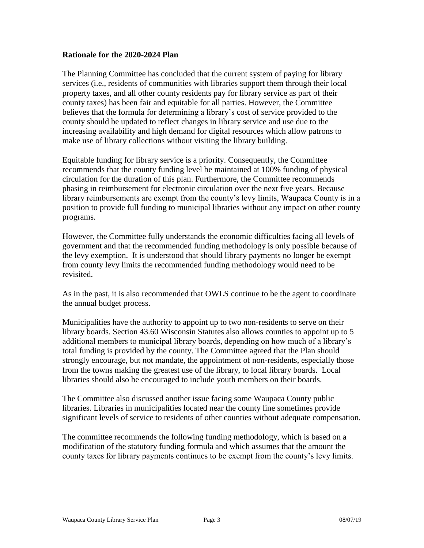### **Rationale for the 2020-2024 Plan**

The Planning Committee has concluded that the current system of paying for library services (i.e., residents of communities with libraries support them through their local property taxes, and all other county residents pay for library service as part of their county taxes) has been fair and equitable for all parties. However, the Committee believes that the formula for determining a library's cost of service provided to the county should be updated to reflect changes in library service and use due to the increasing availability and high demand for digital resources which allow patrons to make use of library collections without visiting the library building.

Equitable funding for library service is a priority. Consequently, the Committee recommends that the county funding level be maintained at 100% funding of physical circulation for the duration of this plan. Furthermore, the Committee recommends phasing in reimbursement for electronic circulation over the next five years. Because library reimbursements are exempt from the county's levy limits, Waupaca County is in a position to provide full funding to municipal libraries without any impact on other county programs.

However, the Committee fully understands the economic difficulties facing all levels of government and that the recommended funding methodology is only possible because of the levy exemption. It is understood that should library payments no longer be exempt from county levy limits the recommended funding methodology would need to be revisited.

As in the past, it is also recommended that OWLS continue to be the agent to coordinate the annual budget process.

Municipalities have the authority to appoint up to two non-residents to serve on their library boards. Section 43.60 Wisconsin Statutes also allows counties to appoint up to 5 additional members to municipal library boards, depending on how much of a library's total funding is provided by the county. The Committee agreed that the Plan should strongly encourage, but not mandate, the appointment of non-residents, especially those from the towns making the greatest use of the library, to local library boards. Local libraries should also be encouraged to include youth members on their boards.

The Committee also discussed another issue facing some Waupaca County public libraries. Libraries in municipalities located near the county line sometimes provide significant levels of service to residents of other counties without adequate compensation.

The committee recommends the following funding methodology, which is based on a modification of the statutory funding formula and which assumes that the amount the county taxes for library payments continues to be exempt from the county's levy limits.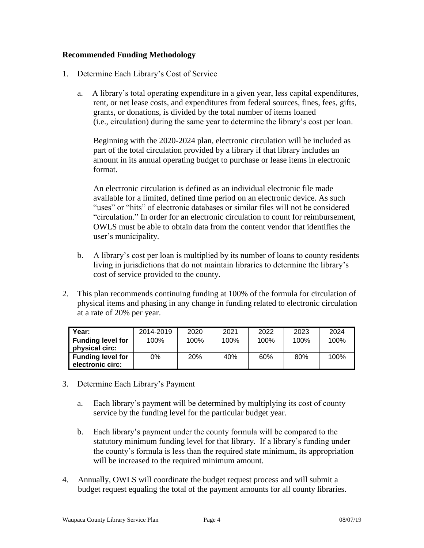# **Recommended Funding Methodology**

- 1. Determine Each Library's Cost of Service
	- a. A library's total operating expenditure in a given year, less capital expenditures, rent, or net lease costs, and expenditures from federal sources, fines, fees, gifts, grants, or donations, is divided by the total number of items loaned (i.e., circulation) during the same year to determine the library's cost per loan.

Beginning with the 2020-2024 plan, electronic circulation will be included as part of the total circulation provided by a library if that library includes an amount in its annual operating budget to purchase or lease items in electronic format.

An electronic circulation is defined as an individual electronic file made available for a limited, defined time period on an electronic device. As such "uses" or "hits" of electronic databases or similar files will not be considered "circulation." In order for an electronic circulation to count for reimbursement, OWLS must be able to obtain data from the content vendor that identifies the user's municipality.

- b. A library's cost per loan is multiplied by its number of loans to county residents living in jurisdictions that do not maintain libraries to determine the library's cost of service provided to the county.
- 2. This plan recommends continuing funding at 100% of the formula for circulation of physical items and phasing in any change in funding related to electronic circulation at a rate of 20% per year.

| Year:                                        | 2014-2019 | 2020       | 2021 | 2022 | 2023 | 2024 |
|----------------------------------------------|-----------|------------|------|------|------|------|
| <b>Funding level for</b><br>physical circ:   | 100%      | 100%       | 100% | 100% | 100% | 100% |
| <b>Funding level for</b><br>electronic circ: | 0%        | <b>20%</b> | 40%  | 60%  | 80%  | 100% |

- 3. Determine Each Library's Payment
	- a. Each library's payment will be determined by multiplying its cost of county service by the funding level for the particular budget year.
	- b. Each library's payment under the county formula will be compared to the statutory minimum funding level for that library. If a library's funding under the county's formula is less than the required state minimum, its appropriation will be increased to the required minimum amount.
- 4. Annually, OWLS will coordinate the budget request process and will submit a budget request equaling the total of the payment amounts for all county libraries.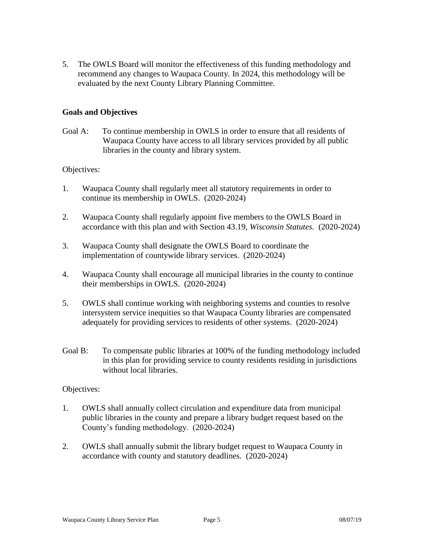5. The OWLS Board will monitor the effectiveness of this funding methodology and recommend any changes to Waupaca County. In 2024, this methodology will be evaluated by the next County Library Planning Committee.

# **Goals and Objectives**

Goal A: To continue membership in OWLS in order to ensure that all residents of Waupaca County have access to all library services provided by all public libraries in the county and library system.

### Objectives:

- 1. Waupaca County shall regularly meet all statutory requirements in order to continue its membership in OWLS. (2020-2024)
- 2. Waupaca County shall regularly appoint five members to the OWLS Board in accordance with this plan and with Section 43.19, *Wisconsin Statutes.* (2020-2024)
- 3. Waupaca County shall designate the OWLS Board to coordinate the implementation of countywide library services. (2020-2024)
- 4. Waupaca County shall encourage all municipal libraries in the county to continue their memberships in OWLS. (2020-2024)
- 5. OWLS shall continue working with neighboring systems and counties to resolve intersystem service inequities so that Waupaca County libraries are compensated adequately for providing services to residents of other systems. (2020-2024)
- Goal B: To compensate public libraries at 100% of the funding methodology included in this plan for providing service to county residents residing in jurisdictions without local libraries.

#### Objectives:

- 1. OWLS shall annually collect circulation and expenditure data from municipal public libraries in the county and prepare a library budget request based on the County's funding methodology. (2020-2024)
- 2. OWLS shall annually submit the library budget request to Waupaca County in accordance with county and statutory deadlines. (2020-2024)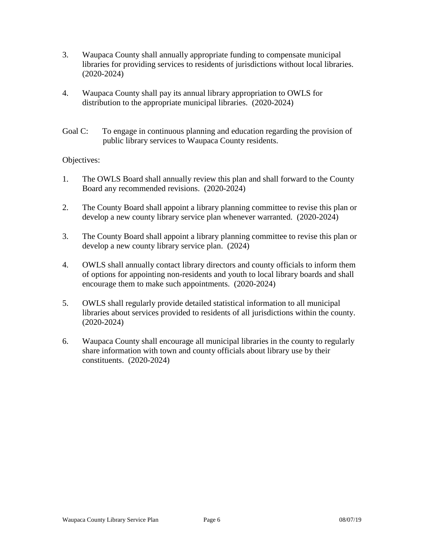- 3. Waupaca County shall annually appropriate funding to compensate municipal libraries for providing services to residents of jurisdictions without local libraries. (2020-2024)
- 4. Waupaca County shall pay its annual library appropriation to OWLS for distribution to the appropriate municipal libraries. (2020-2024)
- Goal C: To engage in continuous planning and education regarding the provision of public library services to Waupaca County residents.

## Objectives:

- 1. The OWLS Board shall annually review this plan and shall forward to the County Board any recommended revisions. (2020-2024)
- 2. The County Board shall appoint a library planning committee to revise this plan or develop a new county library service plan whenever warranted. (2020-2024)
- 3. The County Board shall appoint a library planning committee to revise this plan or develop a new county library service plan. (2024)
- 4. OWLS shall annually contact library directors and county officials to inform them of options for appointing non-residents and youth to local library boards and shall encourage them to make such appointments. (2020-2024)
- 5. OWLS shall regularly provide detailed statistical information to all municipal libraries about services provided to residents of all jurisdictions within the county. (2020-2024)
- 6. Waupaca County shall encourage all municipal libraries in the county to regularly share information with town and county officials about library use by their constituents. (2020-2024)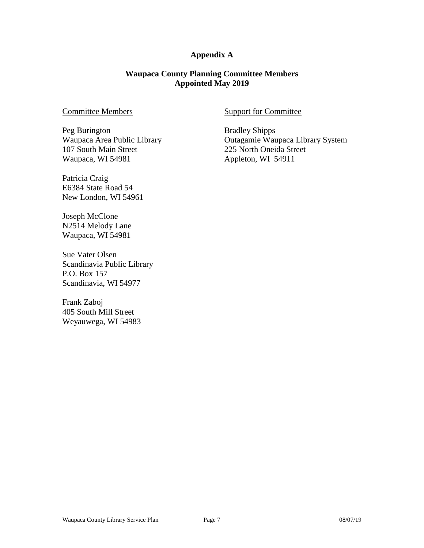## **Appendix A**

### **Waupaca County Planning Committee Members Appointed May 2019**

### Committee Members

Peg Burington Waupaca Area Public Library 107 South Main Street Waupaca, WI 54981

Patricia Craig E6384 State Road 54 New London, WI 54961

Joseph McClone N2514 Melody Lane Waupaca, WI 54981

Sue Vater Olsen Scandinavia Public Library P.O. Box 157 Scandinavia, WI 54977

Frank Zaboj 405 South Mill Street Weyauwega, WI 54983

### Support for Committee

Bradley Shipps Outagamie Waupaca Library System 225 North Oneida Street Appleton, WI 54911